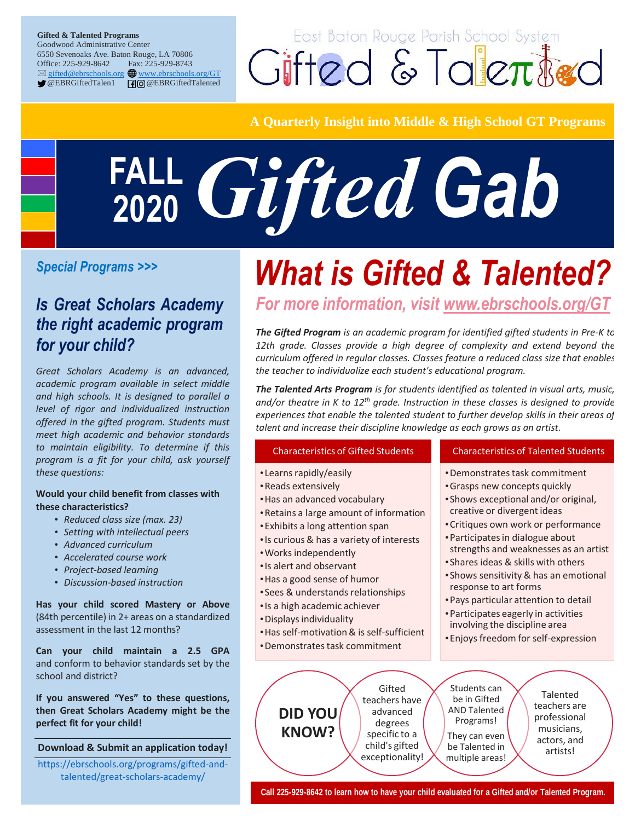#### **Gifted & Talented Programs** Goodwood Administrative Center 6550 Sevenoaks Ave. Baton Rouge, LA 70806 Office: 225-929-8642 Fax: 225-929-8743 ⊠ [gifted@ebrschools.org](http://gifted@ebrschools.org) **the [www.ebrschools.org/GT](http://www.ebrschools.org/GT)** OEBRGiftedTalen1 **0**@EBRGiftedTalented

East Baton Rouge Parish School System Cifted & Talented

### **A Quarterly Insight into Middle & High School GT Programs**

# *Gifted Gab* **FALL 2020**

### *Is Great Scholars Academy the right academic program for your child?*

*Great Scholars Academy is an advanced, academic program available in select middle and high schools. It is designed to parallel a level of rigor and individualized instruction offered in the gifted program. Students must meet high academic and behavior standards to maintain eligibility. To determine if this program is a fit for your child, ask yourself these questions:*

#### **Would your child benefit from classes with these characteristics?**

- *Reduced class size (max. 23)*
- *Setting with intellectual peers*
- *Advanced curriculum*
- *Accelerated course work*
- *Project-based learning*
- *Discussion-based instruction*

**Has your child scored Mastery or Above**  (84th percentile) in 2+ areas on a standardized assessment in the last 12 months?

**Can your child maintain a 2.5 GPA** and conform to behavior standards set by the school and district?

**If you answered "Yes" to these questions, then Great Scholars Academy might be the perfect fit for your child!** 

#### **Download & Submit an application today!**

[https://ebrschools.org/programs/gifted-and](https://ebrschools.org/programs/gifted-and-talented/great-scholars-academy/)[talented/great-scholars-academy/](https://ebrschools.org/programs/gifted-and-talented/great-scholars-academy/)

# *What is Gifted & Talented? Special Programs >>>*

*For more information, visit [www.ebrschools.org/GT](http://www.ebrschools.org/GT)*

*The Gifted Program is an academic program for identified gifted students in Pre-K to*  12th grade. Classes provide a high degree of complexity and extend beyond the *curriculum offered in regular classes. Classes feature a reduced class size that enables the teacher to individualize each student's educational program.*

*The Talented Arts Program is for students identified as talented in visual arts, music, and/or theatre in K to 12th grade. Instruction in these classes is designed to provide experiences that enable the talented student to further develop skills in their areas of talent and increase their discipline knowledge as each grows as an artist.*

#### Characteristics of Gifted Students

- •Learns rapidly/easily
- •Reads extensively
- •Has an advanced vocabulary
- •Retains a large amount of information
- •Exhibits a long attention span
- •Is curious & has a variety of interests
- •Works independently
- •Is alert and observant
- •Has a good sense of humor
- •Sees & understands relationships
- •Is a high academic achiever
- •Displays individuality
- •Has self-motivation & is self-sufficient
- •Demonstrates task commitment

#### Characteristics of Talented Students

- •Demonstrates task commitment
- •Grasps new concepts quickly
- •Shows exceptional and/or original, creative or divergent ideas
- •Critiques own work or performance
- •Participates in dialogue about strengths and weaknesses as an artist
- •Shares ideas & skills with others
- •Shows sensitivity & has an emotional response to art forms
- •Pays particular attention to detail
- •Participates eagerly in activities involving the discipline area
- •Enjoys freedom for self-expression